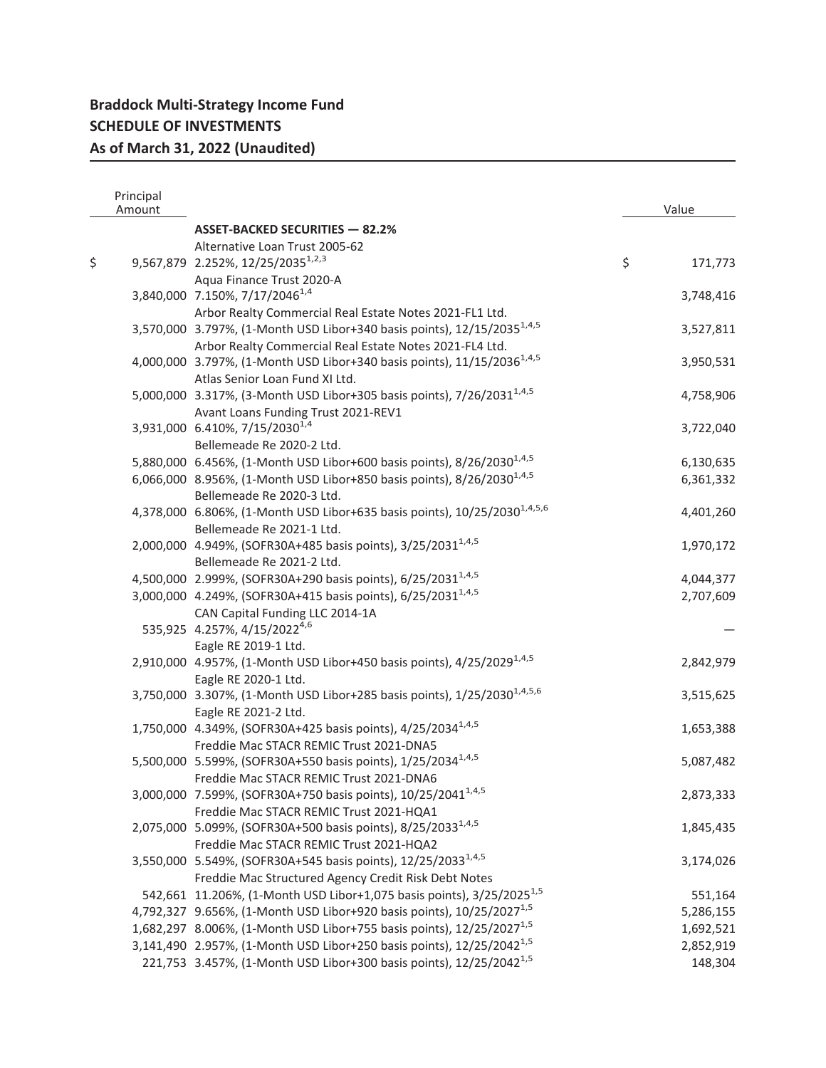| Principal<br>Amount |                                                                                       | Value         |
|---------------------|---------------------------------------------------------------------------------------|---------------|
|                     | <b>ASSET-BACKED SECURITIES - 82.2%</b>                                                |               |
|                     | Alternative Loan Trust 2005-62                                                        |               |
| \$                  | 9,567,879 2.252%, 12/25/2035 <sup>1,2,3</sup>                                         | \$<br>171,773 |
|                     | Aqua Finance Trust 2020-A                                                             |               |
|                     | 3,840,000 7.150%, 7/17/2046 <sup>1,4</sup>                                            | 3,748,416     |
|                     | Arbor Realty Commercial Real Estate Notes 2021-FL1 Ltd.                               |               |
|                     | 3,570,000 3.797%, (1-Month USD Libor+340 basis points), 12/15/2035 <sup>1,4,5</sup>   | 3,527,811     |
|                     | Arbor Realty Commercial Real Estate Notes 2021-FL4 Ltd.                               |               |
|                     | 4,000,000 3.797%, (1-Month USD Libor+340 basis points), 11/15/2036 <sup>1,4,5</sup>   | 3,950,531     |
|                     | Atlas Senior Loan Fund XI Ltd.                                                        |               |
|                     | 5,000,000 3.317%, (3-Month USD Libor+305 basis points), 7/26/2031 <sup>1,4,5</sup>    | 4,758,906     |
|                     | Avant Loans Funding Trust 2021-REV1                                                   |               |
|                     | 3,931,000 6.410%, 7/15/2030 <sup>1,4</sup>                                            | 3,722,040     |
|                     | Bellemeade Re 2020-2 Ltd.                                                             |               |
|                     | 5,880,000 6.456%, (1-Month USD Libor+600 basis points), 8/26/2030 <sup>1,4,5</sup>    | 6,130,635     |
|                     | 6,066,000 8.956%, (1-Month USD Libor+850 basis points), 8/26/2030 <sup>1,4,5</sup>    | 6,361,332     |
|                     | Bellemeade Re 2020-3 Ltd.                                                             |               |
|                     | 4,378,000 6.806%, (1-Month USD Libor+635 basis points), 10/25/2030 <sup>1,4,5,6</sup> | 4,401,260     |
|                     | Bellemeade Re 2021-1 Ltd.                                                             |               |
|                     | 2,000,000 4.949%, (SOFR30A+485 basis points), 3/25/2031 <sup>1,4,5</sup>              | 1,970,172     |
|                     | Bellemeade Re 2021-2 Ltd.                                                             |               |
|                     | 4,500,000 2.999%, (SOFR30A+290 basis points), 6/25/2031 <sup>1,4,5</sup>              | 4,044,377     |
|                     | 3,000,000 4.249%, (SOFR30A+415 basis points), 6/25/2031 <sup>1,4,5</sup>              | 2,707,609     |
|                     | CAN Capital Funding LLC 2014-1A                                                       |               |
|                     | 535,925 4.257%, 4/15/2022 <sup>4,6</sup>                                              |               |
|                     | Eagle RE 2019-1 Ltd.                                                                  |               |
|                     | 2,910,000 4.957%, (1-Month USD Libor+450 basis points), 4/25/2029 <sup>1,4,5</sup>    | 2,842,979     |
|                     | Eagle RE 2020-1 Ltd.                                                                  |               |
|                     | 3,750,000 3.307%, (1-Month USD Libor+285 basis points), 1/25/2030 <sup>1,4,5,6</sup>  | 3,515,625     |
|                     | Eagle RE 2021-2 Ltd.                                                                  |               |
|                     | 1,750,000 4.349%, (SOFR30A+425 basis points), 4/25/2034 <sup>1,4,5</sup>              | 1,653,388     |
|                     | Freddie Mac STACR REMIC Trust 2021-DNA5                                               |               |
|                     | 5,500,000 5.599%, (SOFR30A+550 basis points), 1/25/2034 <sup>1,4,5</sup>              | 5,087,482     |
|                     | Freddie Mac STACR REMIC Trust 2021-DNA6                                               |               |
|                     | 3,000,000 7.599%, (SOFR30A+750 basis points), 10/25/2041 <sup>1,4,5</sup>             | 2,873,333     |
|                     | Freddie Mac STACR REMIC Trust 2021-HQA1                                               |               |
|                     | 2,075,000 5.099%, (SOFR30A+500 basis points), 8/25/2033 <sup>1,4,5</sup>              | 1,845,435     |
|                     | Freddie Mac STACR REMIC Trust 2021-HQA2                                               |               |
|                     | 3,550,000 5.549%, (SOFR30A+545 basis points), 12/25/2033 <sup>1,4,5</sup>             | 3,174,026     |
|                     | Freddie Mac Structured Agency Credit Risk Debt Notes                                  |               |
|                     | 542,661 11.206%, (1-Month USD Libor+1,075 basis points), 3/25/2025 <sup>1,5</sup>     | 551,164       |
|                     | 4,792,327 9.656%, (1-Month USD Libor+920 basis points), 10/25/2027 <sup>1,5</sup>     | 5,286,155     |
|                     | 1,682,297 8.006%, (1-Month USD Libor+755 basis points), 12/25/2027 <sup>1,5</sup>     | 1,692,521     |
|                     | 3,141,490 2.957%, (1-Month USD Libor+250 basis points), 12/25/2042 <sup>1,5</sup>     | 2,852,919     |
|                     | 221,753 3.457%, (1-Month USD Libor+300 basis points), 12/25/2042 <sup>1,5</sup>       | 148,304       |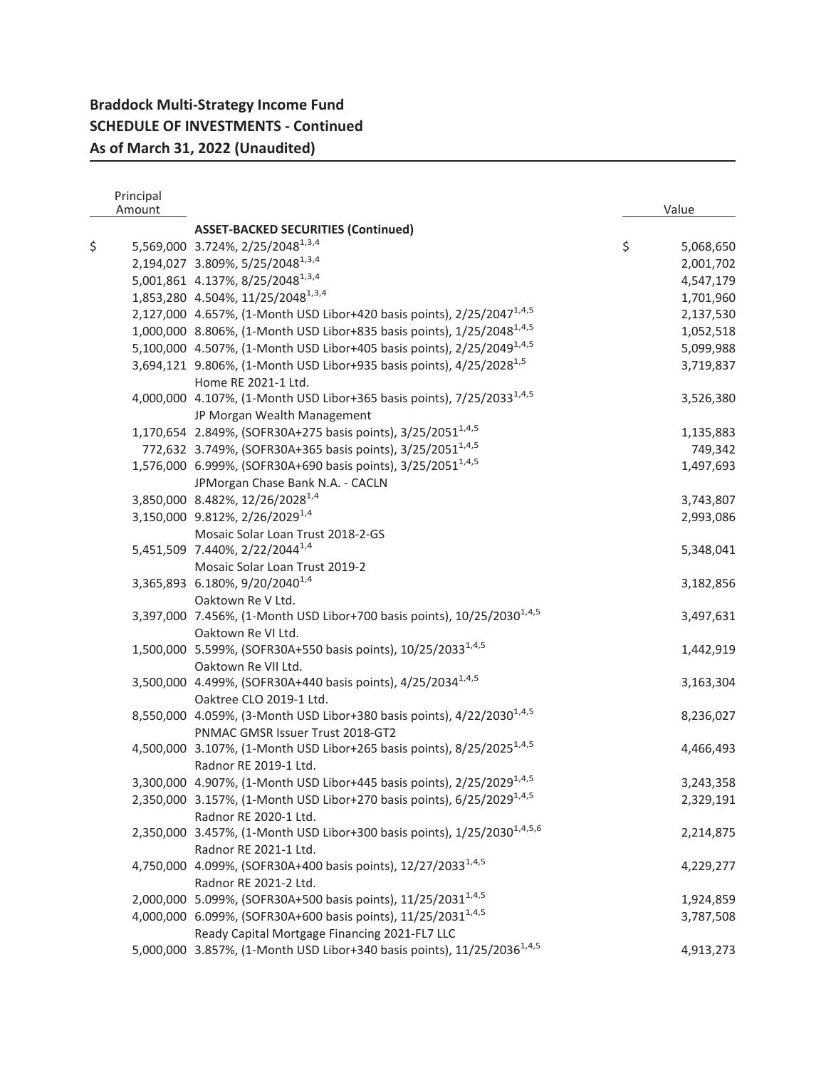|    | Principal<br>Amount |                                                                                      | Value           |
|----|---------------------|--------------------------------------------------------------------------------------|-----------------|
|    |                     | <b>ASSET-BACKED SECURITIES (Continued)</b>                                           |                 |
| \$ |                     | 5,569,000 3.724%, 2/25/2048 <sup>1,3,4</sup>                                         | \$<br>5,068,650 |
|    |                     | 2,194,027 3.809%, 5/25/2048 <sup>1,3,4</sup>                                         | 2,001,702       |
|    |                     | 5,001,861 4.137%, 8/25/2048 <sup>1,3,4</sup>                                         | 4,547,179       |
|    |                     | 1,853,280 4.504%, 11/25/2048 <sup>1,3,4</sup>                                        | 1,701,960       |
|    |                     | 2,127,000 4.657%, (1-Month USD Libor+420 basis points), 2/25/2047 <sup>1,4,5</sup>   | 2,137,530       |
|    |                     | 1,000,000 8.806%, (1-Month USD Libor+835 basis points), 1/25/2048 <sup>1,4,5</sup>   | 1,052,518       |
|    |                     | 5,100,000 4.507%, (1-Month USD Libor+405 basis points), 2/25/2049 <sup>1,4,5</sup>   | 5,099,988       |
|    |                     | 3,694,121 9.806%, (1-Month USD Libor+935 basis points), 4/25/2028 <sup>1,5</sup>     | 3,719,837       |
|    |                     | Home RE 2021-1 Ltd.                                                                  |                 |
|    |                     | 4,000,000 4.107%, (1-Month USD Libor+365 basis points), 7/25/2033 <sup>1,4,5</sup>   | 3,526,380       |
|    |                     | JP Morgan Wealth Management                                                          |                 |
|    |                     | 1,170,654 2.849%, (SOFR30A+275 basis points), 3/25/2051 <sup>1,4,5</sup>             |                 |
|    |                     |                                                                                      | 1,135,883       |
|    |                     | 772,632 3.749%, (SOFR30A+365 basis points), 3/25/2051 <sup>1,4,5</sup>               | 749,342         |
|    |                     | 1,576,000 6.999%, (SOFR30A+690 basis points), 3/25/2051 <sup>1,4,5</sup>             | 1,497,693       |
|    |                     | JPMorgan Chase Bank N.A. - CACLN                                                     |                 |
|    |                     | 3,850,000 8.482%, 12/26/2028 <sup>1,4</sup>                                          | 3,743,807       |
|    |                     | 3,150,000 9.812%, 2/26/2029 <sup>1,4</sup>                                           | 2,993,086       |
|    |                     | Mosaic Solar Loan Trust 2018-2-GS                                                    |                 |
|    |                     | 5,451,509 7.440%, 2/22/2044 <sup>1,4</sup>                                           | 5,348,041       |
|    |                     | Mosaic Solar Loan Trust 2019-2                                                       |                 |
|    |                     | 3,365,893 6.180%, 9/20/2040 <sup>1,4</sup>                                           | 3,182,856       |
|    |                     | Oaktown Re V Ltd.                                                                    |                 |
|    |                     | 3,397,000 7.456%, (1-Month USD Libor+700 basis points), 10/25/2030 <sup>1,4,5</sup>  | 3,497,631       |
|    |                     | Oaktown Re VI Ltd.                                                                   |                 |
|    |                     | 1,500,000 5.599%, (SOFR30A+550 basis points), 10/25/2033 <sup>1,4,5</sup>            | 1,442,919       |
|    |                     | Oaktown Re VII Ltd.                                                                  |                 |
|    |                     | 3,500,000 4.499%, (SOFR30A+440 basis points), 4/25/2034 <sup>1,4,5</sup>             | 3,163,304       |
|    |                     | Oaktree CLO 2019-1 Ltd.                                                              |                 |
|    |                     | 8,550,000 4.059%, (3-Month USD Libor+380 basis points), 4/22/2030 <sup>1,4,5</sup>   | 8,236,027       |
|    |                     | PNMAC GMSR Issuer Trust 2018-GT2                                                     |                 |
|    |                     | 4,500,000 3.107%, (1-Month USD Libor+265 basis points), 8/25/2025 <sup>1,4,5</sup>   | 4,466,493       |
|    |                     | Radnor RE 2019-1 Ltd.                                                                |                 |
|    |                     | 3,300,000 4.907%, (1-Month USD Libor+445 basis points), 2/25/2029 <sup>1,4,5</sup>   | 3,243,358       |
|    |                     | 2,350,000 3.157%, (1-Month USD Libor+270 basis points), 6/25/2029 <sup>1,4,5</sup>   | 2,329,191       |
|    |                     | Radnor RE 2020-1 Ltd.                                                                |                 |
|    |                     | 2,350,000 3.457%, (1-Month USD Libor+300 basis points), 1/25/2030 <sup>1,4,5,6</sup> | 2,214,875       |
|    |                     | Radnor RE 2021-1 Ltd.                                                                |                 |
|    |                     | 4,750,000 4.099%, (SOFR30A+400 basis points), 12/27/2033 <sup>1,4,5</sup>            | 4,229,277       |
|    |                     | Radnor RE 2021-2 Ltd.                                                                |                 |
|    |                     | 2,000,000 5.099%, (SOFR30A+500 basis points), 11/25/2031 <sup>1,4,5</sup>            | 1,924,859       |
|    |                     | 4,000,000 6.099%, (SOFR30A+600 basis points), 11/25/2031 <sup>1,4,5</sup>            | 3,787,508       |
|    |                     | Ready Capital Mortgage Financing 2021-FL7 LLC                                        |                 |
|    |                     | 5,000,000 3.857%, (1-Month USD Libor+340 basis points), 11/25/2036 <sup>1,4,5</sup>  | 4,913,273       |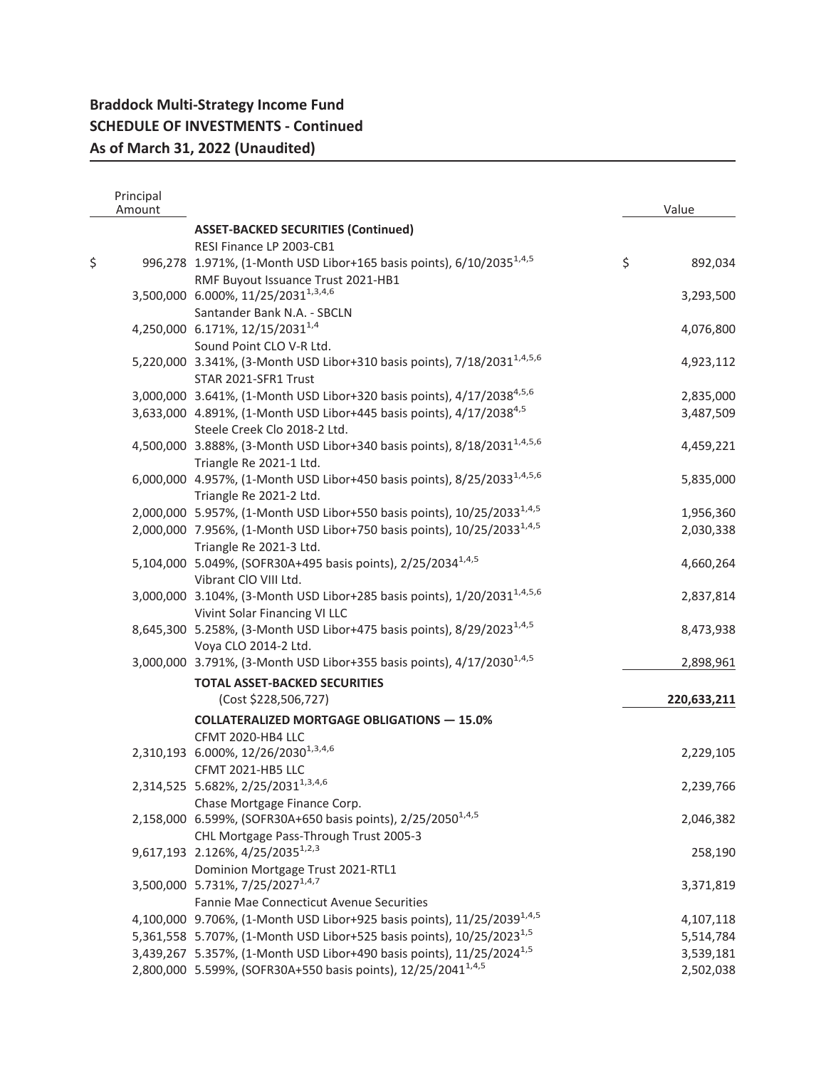| Principal<br>Amount |                                                                                      |         | Value       |
|---------------------|--------------------------------------------------------------------------------------|---------|-------------|
|                     | <b>ASSET-BACKED SECURITIES (Continued)</b>                                           |         |             |
|                     | RESI Finance LP 2003-CB1                                                             |         |             |
| \$                  | 996,278 1.971%, (1-Month USD Libor+165 basis points), 6/10/2035 <sup>1,4,5</sup>     | $\zeta$ | 892,034     |
|                     | RMF Buyout Issuance Trust 2021-HB1                                                   |         |             |
|                     | 3,500,000 6.000%, 11/25/2031 <sup>1,3,4,6</sup>                                      |         | 3,293,500   |
|                     | Santander Bank N.A. - SBCLN                                                          |         |             |
|                     | 4,250,000 6.171%, 12/15/2031 <sup>1,4</sup>                                          |         | 4,076,800   |
|                     | Sound Point CLO V-R Ltd.                                                             |         |             |
|                     | 5,220,000 3.341%, (3-Month USD Libor+310 basis points), 7/18/2031 <sup>1,4,5,6</sup> |         | 4,923,112   |
|                     | STAR 2021-SFR1 Trust                                                                 |         |             |
|                     |                                                                                      |         |             |
|                     | 3,000,000 3.641%, (1-Month USD Libor+320 basis points), 4/17/2038 <sup>4,5,6</sup>   |         | 2,835,000   |
|                     | 3,633,000 4.891%, (1-Month USD Libor+445 basis points), 4/17/2038 <sup>4,5</sup>     |         | 3,487,509   |
|                     | Steele Creek Clo 2018-2 Ltd.                                                         |         |             |
|                     | 4,500,000 3.888%, (3-Month USD Libor+340 basis points), 8/18/2031 <sup>1,4,5,6</sup> |         | 4,459,221   |
|                     | Triangle Re 2021-1 Ltd.                                                              |         |             |
|                     | 6,000,000 4.957%, (1-Month USD Libor+450 basis points), 8/25/2033 <sup>1,4,5,6</sup> |         | 5,835,000   |
|                     | Triangle Re 2021-2 Ltd.                                                              |         |             |
|                     | 2,000,000 5.957%, (1-Month USD Libor+550 basis points), 10/25/2033 <sup>1,4,5</sup>  |         | 1,956,360   |
|                     | 2,000,000 7.956%, (1-Month USD Libor+750 basis points), 10/25/2033 <sup>1,4,5</sup>  |         | 2,030,338   |
|                     | Triangle Re 2021-3 Ltd.                                                              |         |             |
|                     | 5,104,000 5.049%, (SOFR30A+495 basis points), 2/25/2034 <sup>1,4,5</sup>             |         | 4,660,264   |
|                     | Vibrant CIO VIII Ltd.                                                                |         |             |
|                     | 3,000,000 3.104%, (3-Month USD Libor+285 basis points), 1/20/2031 <sup>1,4,5,6</sup> |         | 2,837,814   |
|                     | Vivint Solar Financing VI LLC                                                        |         |             |
|                     | 8,645,300 5.258%, (3-Month USD Libor+475 basis points), 8/29/2023 <sup>1,4,5</sup>   |         | 8,473,938   |
|                     | Voya CLO 2014-2 Ltd.                                                                 |         |             |
|                     | 3,000,000 3.791%, (3-Month USD Libor+355 basis points), 4/17/2030 <sup>1,4,5</sup>   |         | 2,898,961   |
|                     | <b>TOTAL ASSET-BACKED SECURITIES</b>                                                 |         |             |
|                     | (Cost \$228,506,727)                                                                 |         | 220,633,211 |
|                     | <b>COLLATERALIZED MORTGAGE OBLIGATIONS - 15.0%</b>                                   |         |             |
|                     | CFMT 2020-HB4 LLC                                                                    |         |             |
|                     | 2,310,193 6.000%, 12/26/2030 <sup>1,3,4,6</sup>                                      |         | 2,229,105   |
|                     | CFMT 2021-HB5 LLC                                                                    |         |             |
|                     | 2,314,525 5.682%, 2/25/2031 <sup>1,3,4,6</sup>                                       |         | 2,239,766   |
|                     | Chase Mortgage Finance Corp.                                                         |         |             |
|                     | 2,158,000 6.599%, (SOFR30A+650 basis points), 2/25/2050 <sup>1,4,5</sup>             |         | 2,046,382   |
|                     | CHL Mortgage Pass-Through Trust 2005-3                                               |         |             |
|                     | 9,617,193 2.126%, 4/25/2035 <sup>1,2,3</sup>                                         |         | 258,190     |
|                     | Dominion Mortgage Trust 2021-RTL1                                                    |         |             |
|                     | 3,500,000 5.731%, 7/25/2027 <sup>1,4,7</sup>                                         |         | 3,371,819   |
|                     |                                                                                      |         |             |
|                     | Fannie Mae Connecticut Avenue Securities                                             |         |             |
|                     | 4,100,000 9.706%, (1-Month USD Libor+925 basis points), 11/25/2039 <sup>1,4,5</sup>  |         | 4,107,118   |
|                     | 5,361,558 5.707%, (1-Month USD Libor+525 basis points), 10/25/2023 <sup>1,5</sup>    |         | 5,514,784   |
|                     | 3,439,267 5.357%, (1-Month USD Libor+490 basis points), 11/25/2024 <sup>1,5</sup>    |         | 3,539,181   |
|                     | 2,800,000 5.599%, (SOFR30A+550 basis points), 12/25/2041 <sup>1,4,5</sup>            |         | 2,502,038   |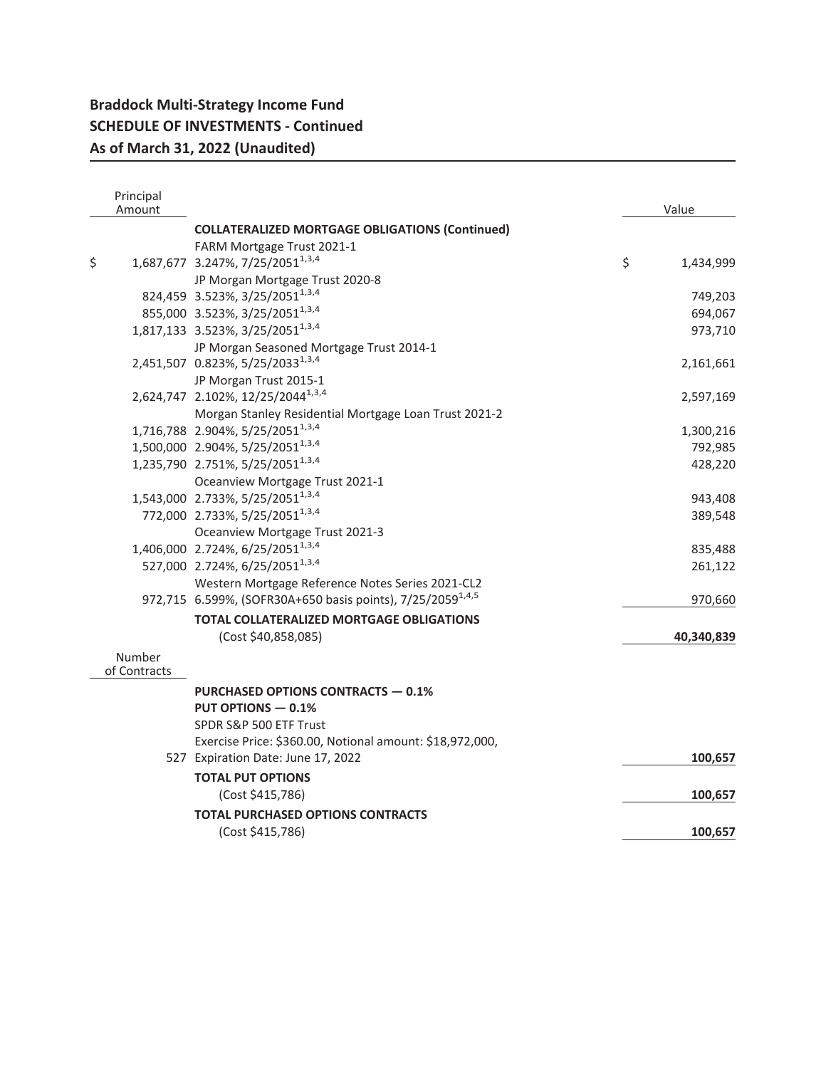| Principal<br>Amount |                                                                        | Value           |
|---------------------|------------------------------------------------------------------------|-----------------|
|                     | <b>COLLATERALIZED MORTGAGE OBLIGATIONS (Continued)</b>                 |                 |
|                     | FARM Mortgage Trust 2021-1                                             |                 |
| \$                  | 1,687,677 3.247%, 7/25/2051 <sup>1,3,4</sup>                           | \$<br>1,434,999 |
|                     | JP Morgan Mortgage Trust 2020-8                                        |                 |
|                     | 824,459 3.523%, 3/25/2051 <sup>1,3,4</sup>                             | 749,203         |
|                     | 855,000 3.523%, 3/25/2051 <sup>1,3,4</sup>                             | 694,067         |
|                     | 1,817,133 3.523%, 3/25/2051 <sup>1,3,4</sup>                           | 973,710         |
|                     | JP Morgan Seasoned Mortgage Trust 2014-1                               |                 |
|                     | 2,451,507 0.823%, 5/25/2033 <sup>1,3,4</sup>                           | 2,161,661       |
|                     | JP Morgan Trust 2015-1                                                 |                 |
|                     | 2,624,747 2.102%, 12/25/2044 <sup>1,3,4</sup>                          | 2,597,169       |
|                     | Morgan Stanley Residential Mortgage Loan Trust 2021-2                  |                 |
|                     | 1,716,788 2.904%, 5/25/2051 <sup>1,3,4</sup>                           | 1,300,216       |
|                     | 1,500,000 2.904%, 5/25/2051 <sup>1,3,4</sup>                           | 792,985         |
|                     | 1,235,790 2.751%, 5/25/2051 <sup>1,3,4</sup>                           | 428,220         |
|                     | Oceanview Mortgage Trust 2021-1                                        |                 |
|                     | 1,543,000 2.733%, 5/25/2051 <sup>1,3,4</sup>                           | 943,408         |
|                     | 772,000 2.733%, 5/25/2051 <sup>1,3,4</sup>                             | 389,548         |
|                     | Oceanview Mortgage Trust 2021-3                                        |                 |
|                     | 1,406,000 2.724%, 6/25/2051 <sup>1,3,4</sup>                           | 835,488         |
|                     | 527,000 2.724%, 6/25/2051 <sup>1,3,4</sup>                             | 261,122         |
|                     | Western Mortgage Reference Notes Series 2021-CL2                       |                 |
|                     | 972,715 6.599%, (SOFR30A+650 basis points), 7/25/2059 <sup>1,4,5</sup> | 970,660         |
|                     | <b>TOTAL COLLATERALIZED MORTGAGE OBLIGATIONS</b>                       |                 |
|                     | (Cost \$40,858,085)                                                    | 40,340,839      |
| Number              |                                                                        |                 |
| of Contracts        |                                                                        |                 |
|                     | <b>PURCHASED OPTIONS CONTRACTS - 0.1%</b>                              |                 |
|                     | <b>PUT OPTIONS - 0.1%</b>                                              |                 |
|                     | SPDR S&P 500 ETF Trust                                                 |                 |
|                     | Exercise Price: \$360.00, Notional amount: \$18,972,000,               |                 |
|                     | 527 Expiration Date: June 17, 2022                                     | 100,657         |
|                     | <b>TOTAL PUT OPTIONS</b>                                               |                 |
|                     | (Cost \$415,786)                                                       | 100,657         |
|                     | <b>TOTAL PURCHASED OPTIONS CONTRACTS</b>                               |                 |
|                     | (Cost \$415,786)                                                       | 100,657         |